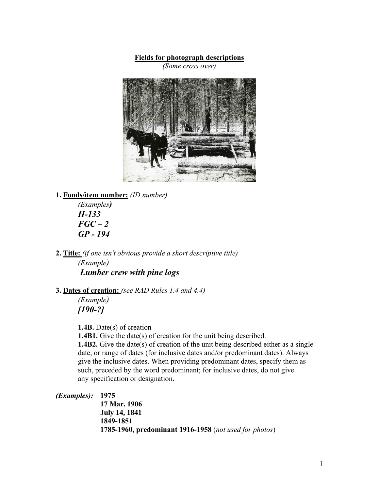#### **Fields for photograph descriptions**

*(Some cross over)*



#### **1. Fonds/item number:** *(ID number)*

*(Examples) H-133 FGC – 2 GP - 194*

**2. Title:** *(if one isn't obvious provide a short descriptive title) (Example) Lumber crew with pine logs*

## **3. Dates of creation:** *(see RAD Rules 1.4 and 4.4)*

*(Example) [190-?]*

**1.4B.** Date(s) of creation

**1.4B1.** Give the date(s) of creation for the unit being described. **1.4B2.** Give the date(s) of creation of the unit being described either as a single date, or range of dates (for inclusive dates and/or predominant dates). Always give the inclusive dates. When providing predominant dates, specify them as such, preceded by the word predominant; for inclusive dates, do not give any specification or designation.

*(Examples):* **1975**

**17 Mar. 1906 July 14, 1841 1849-1851 1785-1960, predominant 1916-1958** (*not used for photos*)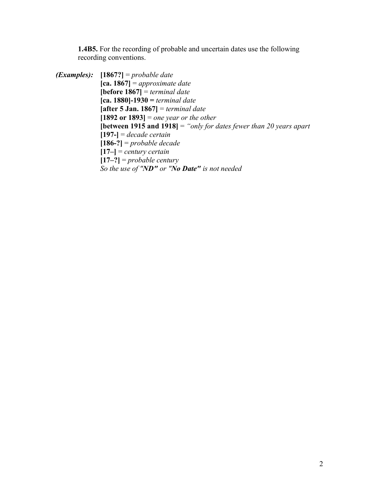**1.4B5.** For the recording of probable and uncertain dates use the following recording conventions.

*(Examples):* **[1867?]** = *probable date* **[ca. 1867]** = *approximate date* **[before 1867]** = *terminal date* **[ca. 1880]-1930 =** *terminal date* **[after 5 Jan. 1867]** = *terminal date* **[1892 or 1893]** = *one year or the other* **[between 1915 and 1918]** = *"only for dates fewer than 20 years apart* **[197-]** = *decade certain* **[186-?]** = *probable decade* **[17–]** = *century certain* **[17–?]** = *probable century So the use of "ND" or "No Date" is not needed*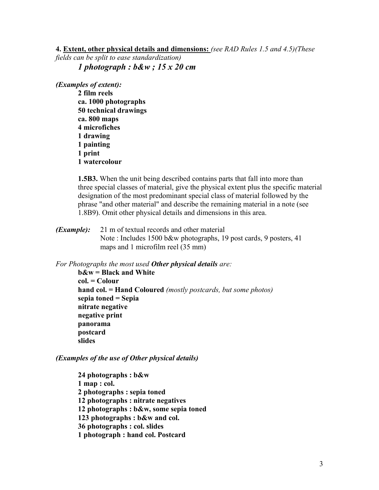**4. Extent, other physical details and dimensions:** *(see RAD Rules 1.5 and 4.5)(These* 

*fields can be split to ease standardization) 1 photograph : b&w ; 15 x 20 cm*

*(Examples of extent):*

**2 film reels ca. 1000 photographs 50 technical drawings ca. 800 maps 4 microfiches 1 drawing 1 painting 1 print 1 watercolour**

**1.5B3.** When the unit being described contains parts that fall into more than three special classes of material, give the physical extent plus the specific material designation of the most predominant special class of material followed by the phrase "and other material" and describe the remaining material in a note (see 1.8B9). Omit other physical details and dimensions in this area.

*(Example):* 21 m of textual records and other material Note : Includes 1500 b&w photographs, 19 post cards, 9 posters, 41 maps and 1 microfilm reel (35 mm)

*For Photographs the most used Other physical details are:*

**b&w = Black and White col. = Colour hand col. = Hand Coloured** *(mostly postcards, but some photos)* **sepia toned = Sepia nitrate negative negative print panorama postcard slides**

*(Examples of the use of Other physical details)*

**24 photographs : b&w 1 map : col. 2 photographs : sepia toned 12 photographs : nitrate negatives 12 photographs : b&w, some sepia toned 123 photographs : b&w and col. 36 photographs : col. slides 1 photograph : hand col. Postcard**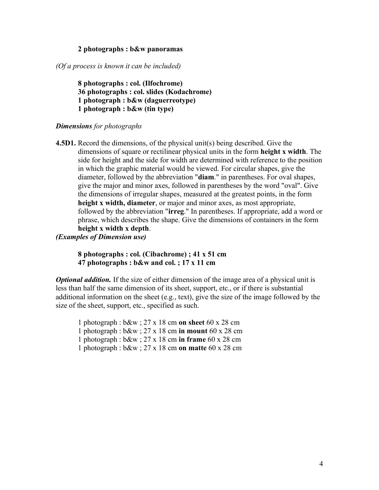#### **2 photographs : b&w panoramas**

*(Of a process is known it can be included)*

**8 photographs : col. (Ilfochrome) 36 photographs : col. slides (Kodachrome) 1 photograph : b&w (daguerreotype) 1 photograph : b&w (tin type)**

#### *Dimensions for photographs*

**4.5D1.** Record the dimensions, of the physical unit(s) being described. Give the dimensions of square or rectilinear physical units in the form **height x width**. The side for height and the side for width are determined with reference to the position in which the graphic material would be viewed. For circular shapes, give the diameter, followed by the abbreviation "**diam**." in parentheses. For oval shapes, give the major and minor axes, followed in parentheses by the word "oval". Give the dimensions of irregular shapes, measured at the greatest points, in the form **height x width, diameter**, or major and minor axes, as most appropriate, followed by the abbreviation "**irreg**." In parentheses. If appropriate, add a word or phrase, which describes the shape. Give the dimensions of containers in the form **height x width x depth**.

## *(Examples of Dimension use)*

#### **8 photographs : col. (Cibachrome) ; 41 x 51 cm 47 photographs : b&w and col. ; 17 x 11 cm**

*Optional addition.* If the size of either dimension of the image area of a physical unit is less than half the same dimension of its sheet, support, etc., or if there is substantial additional information on the sheet (e.g., text), give the size of the image followed by the size of the sheet, support, etc., specified as such.

1 photograph : b&w ; 27 x 18 cm **on sheet** 60 x 28 cm 1 photograph : b&w ; 27 x 18 cm **in mount** 60 x 28 cm

- 1 photograph : b&w ; 27 x 18 cm **in frame** 60 x 28 cm
- 1 photograph : b&w ; 27 x 18 cm **on matte** 60 x 28 cm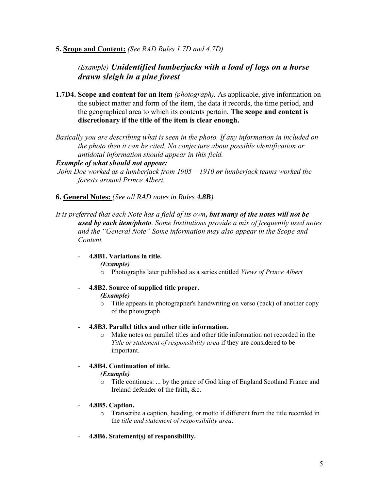**5. Scope and Content:** *(See RAD Rules 1.7D and 4.7D)*

# *(Example) Unidentified lumberjacks with a load of logs on a horse drawn sleigh in a pine forest*

- **1.7D4. Scope and content for an item** *(photograph).* As applicable, give information on the subject matter and form of the item, the data it records, the time period, and the geographical area to which its contents pertain. **The scope and content is discretionary if the title of the item is clear enough.**
- *Basically you are describing what is seen in the photo. If any information in included on the photo then it can be cited. No conjecture about possible identification or antidotal information should appear in this field.*

#### *Example of what should not appear:*

*John Doe worked as a lumberjack from 1905 – 1910 or lumberjack teams worked the forests around Prince Albert.*

## **6. General Notes:** *(See all RAD notes in Rules 4.8B)*

*It is preferred that each Note has a field of its own, but many of the notes will not be used by each item/photo. Some Institutions provide a mix of frequently used notes and the "General Note" Some information may also appear in the Scope and Content.*

## - **4.8B1. Variations in title.**

*(Example)*

o Photographs later published as a series entitled *Views of Prince Albert*

#### - **4.8B2. Source of supplied title proper.**

#### *(Example)*

o Title appears in photographer's handwriting on verso (back) of another copy of the photograph

#### - **4.8B3. Parallel titles and other title information.**

o Make notes on parallel titles and other title information not recorded in the *Title or statement of responsibility area* if they are considered to be important.

## - **4.8B4. Continuation of title.**

## *(Example)*

o Title continues: ... by the grace of God king of England Scotland France and Ireland defender of the faith, &c.

#### - **4.8B5. Caption.**

- o Transcribe a caption, heading, or motto if different from the title recorded in the *title and statement of responsibility area*.
- **4.8B6. Statement(s) of responsibility.**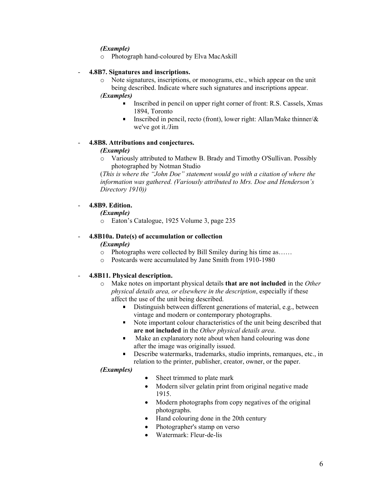#### *(Example)*

o Photograph hand-coloured by Elva MacAskill

#### - **4.8B7. Signatures and inscriptions.**

o Note signatures, inscriptions, or monograms, etc., which appear on the unit being described. Indicate where such signatures and inscriptions appear.

#### *(Examples)*

- Inscribed in pencil on upper right corner of front: R.S. Cassels, Xmas 1894, Toronto
- **Inscribed in pencil, recto (front), lower right: Allan/Make thinner/** $\&$ we've got it./Jim

#### - **4.8B8. Attributions and conjectures.**

#### *(Example)*

o Variously attributed to Mathew B. Brady and Timothy O'Sullivan. Possibly photographed by Notman Studio

(*This is where the "John Doe" statement would go with a citation of where the information was gathered. (Variously attributed to Mrs. Doe and Henderson's Directory 1910))*

#### - **4.8B9. Edition.**

*(Example)*

o Eaton's Catalogue, 1925 Volume 3, page 235

## - **4.8B10a. Date(s) of accumulation or collection**

*(Example)* 

- o Photographs were collected by Bill Smiley during his time as……
- o Postcards were accumulated by Jane Smith from 1910-1980

#### - **4.8B11. Physical description.**

- o Make notes on important physical details **that are not included** in the *Other physical details area, or elsewhere in the description*, especially if these affect the use of the unit being described.
	- Distinguish between different generations of material, e.g., between vintage and modern or contemporary photographs.
	- Note important colour characteristics of the unit being described that **are not included** in the *Other physical details area*.
	- Make an explanatory note about when hand colouring was done  $\blacksquare$ after the image was originally issued.
	- $\blacksquare$ Describe watermarks, trademarks, studio imprints, remarques, etc., in relation to the printer, publisher, creator, owner, or the paper.

#### *(Examples)*

- Sheet trimmed to plate mark
- Modern silver gelatin print from original negative made 1915.
- Modern photographs from copy negatives of the original photographs.
- Hand colouring done in the 20th century
- Photographer's stamp on verso
- Watermark: Fleur-de-lis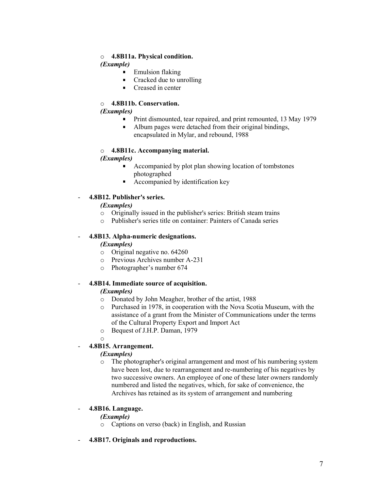#### o **4.8B11a. Physical condition.**

## *(Example)*

- Emulsion flaking
- Cracked due to unrolling  $\blacksquare$
- $\blacksquare$ Creased in center

## o **4.8B11b. Conservation.**

#### *(Examples)*

- **Print dismounted, tear repaired, and print remounted, 13 May 1979**
- $\mathbf{r}$ Album pages were detached from their original bindings, encapsulated in Mylar, and rebound, 1988

## o **4.8B11c. Accompanying material.**

## *(Examples)*

- Accompanied by plot plan showing location of tombstones photographed
- Accompanied by identification key  $\blacksquare$

## - **4.8B12. Publisher's series.**

## *(Examples)*

- o Originally issued in the publisher's series: British steam trains
- o Publisher's series title on container: Painters of Canada series

## - **4.8B13. Alpha-numeric designations.**

## *(Examples)*

- o Original negative no. 64260
- o Previous Archives number A-231
- o Photographer's number 674

## - **4.8B14. Immediate source of acquisition.**

## *(Examples)*

- o Donated by John Meagher, brother of the artist, 1988
- o Purchased in 1978, in cooperation with the Nova Scotia Museum, with the assistance of a grant from the Minister of Communications under the terms of the Cultural Property Export and Import Act
- o Bequest of J.H.P. Daman, 1979

o

## - **4.8B15. Arrangement.**

## *(Examples)*

o The photographer's original arrangement and most of his numbering system have been lost, due to rearrangement and re-numbering of his negatives by two successive owners. An employee of one of these later owners randomly numbered and listed the negatives, which, for sake of convenience, the Archives has retained as its system of arrangement and numbering

## - **4.8B16. Language.**

## *(Example)*

- o Captions on verso (back) in English, and Russian
- **4.8B17. Originals and reproductions.**